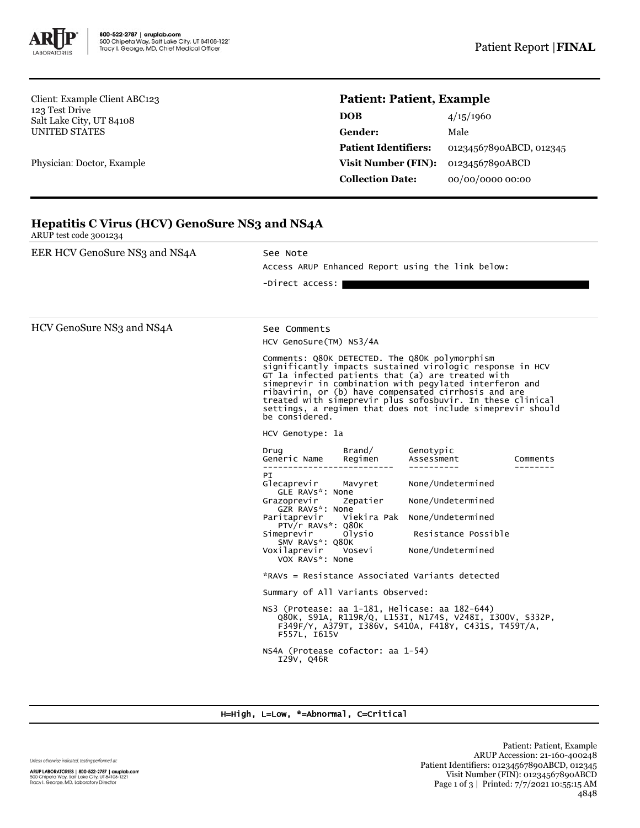

**Hepatitis C Virus (HCV) GenoSure NS3 and NS4A**

Client: Example Client ABC123 123 Test Drive Salt Lake City, UT 84108 UNITED STATES

Physician: Doctor, Example

## **Patient: Patient, Example**

| <b>DOB</b>                  | 4/15/1960               |
|-----------------------------|-------------------------|
| <b>Gender:</b>              | Male                    |
| <b>Patient Identifiers:</b> | 01234567890ABCD, 012345 |
| Visit Number (FIN):         | 01234567890ABCD         |
| <b>Collection Date:</b>     | 00/00/0000 00:00        |

| EER HCV GenoSure NS3 and NS4A | See Note                                                                                                                                                                                                                                                                                                                                                                                                                           |                         |          |  |  |
|-------------------------------|------------------------------------------------------------------------------------------------------------------------------------------------------------------------------------------------------------------------------------------------------------------------------------------------------------------------------------------------------------------------------------------------------------------------------------|-------------------------|----------|--|--|
|                               | Access ARUP Enhanced Report using the link below:<br>-Direct access:                                                                                                                                                                                                                                                                                                                                                               |                         |          |  |  |
|                               |                                                                                                                                                                                                                                                                                                                                                                                                                                    |                         |          |  |  |
| HCV GenoSure NS3 and NS4A     | See Comments                                                                                                                                                                                                                                                                                                                                                                                                                       |                         |          |  |  |
|                               | HCV GenoSure(TM) NS3/4A                                                                                                                                                                                                                                                                                                                                                                                                            |                         |          |  |  |
|                               | Comments: Q80K DETECTED. The Q80K polymorphism<br>significantly impacts sustained virologic response in HCV<br>GT la infected patients that (a) are treated with<br>simeprevir in combination with pegylated interferon and<br>ribavirin, or (b) have compensated cirrhosis and are<br>treated with simeprevir plus sofosbuvir. In these clinical<br>settings, a regimen that does not include simeprevir should<br>be considered. |                         |          |  |  |
|                               | HCV Genotype: 1a                                                                                                                                                                                                                                                                                                                                                                                                                   |                         |          |  |  |
|                               | Brand/<br>Drug<br>Generic Name<br>Regimen                                                                                                                                                                                                                                                                                                                                                                                          | Genotypic<br>Assessment | Comments |  |  |
|                               | PI<br>None/Undetermined<br>Glecaprevir<br>Mavyret<br>GLE RAVS*: None<br>None/Undetermined<br>Zepatier<br>Grazoprevir                                                                                                                                                                                                                                                                                                               |                         |          |  |  |
|                               | GZR RAVS*: None<br>Viekira Pak None/Undetermined<br>Paritaprevir                                                                                                                                                                                                                                                                                                                                                                   |                         |          |  |  |
|                               | PTV/r RAVs*: Q80K<br>Resistance Possible<br>Simeprevir<br>Olysio                                                                                                                                                                                                                                                                                                                                                                   |                         |          |  |  |
|                               | SMV RAVS*: Q80K<br>Voxilaprevir<br>Vosevi<br>VOX RAVS*: None                                                                                                                                                                                                                                                                                                                                                                       | None/Undetermined       |          |  |  |
|                               | *RAVs = Resistance Associated Variants detected                                                                                                                                                                                                                                                                                                                                                                                    |                         |          |  |  |
|                               | Summary of All Variants Observed:                                                                                                                                                                                                                                                                                                                                                                                                  |                         |          |  |  |
|                               | NS3 (Protease: aa 1-181, Helicase: aa 182-644)<br>Q80K, S91A, R119R/Q, L153I, N174S, V248I, I300V, S332P,<br>F349F/Y, A379T, I386V, S410A, F418Y, C431S, T459T/A,<br>F557L, I615V                                                                                                                                                                                                                                                  |                         |          |  |  |
|                               | NS4A (Protease cofactor: aa 1-54)<br>I29V, Q46R                                                                                                                                                                                                                                                                                                                                                                                    |                         |          |  |  |

## H=High, L=Low, \*=Abnormal, C=Critical

Unless otherwise indicated, testing performed at: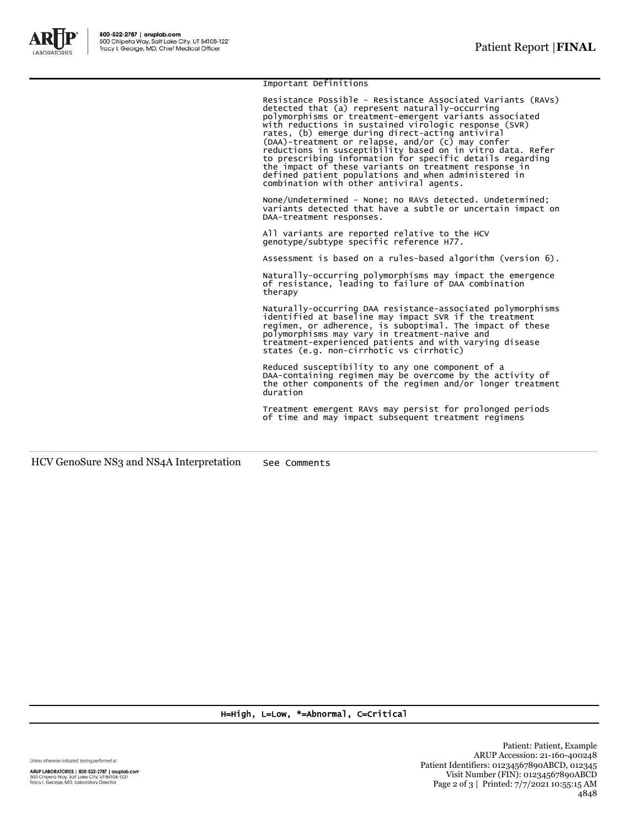

Important Definitions

Resistance Possible - Resistance Associated Variants (RAVs) detected that (a) represent naturally-occurring polymorphisms or treatment-emergent variants associated<br>with reductions in sustained virologic response (SVR)<br>rates, (b) emerge during direct-acting antiviral<br>(DAA)-treatment or relapse, and/or (c) may confer<br>reductions in combination with other antiviral agents.

None/Undetermined - None; no RAVs detected. Undetermined; variants detected that have a subtle or uncertain impact on DAA-treatment responses.

All variants are reported relative to the HCV genotype/subtype specific reference H77.

Assessment is based on a rules-based algorithm (version 6).

Naturally-occurring polymorphisms may impact the emergence of resistance, leading to failure of DAA combination therapy

Naturally-occurring DAA resistance-associated polymorphisms<br>identified at baseline may impact SVR if the treatment<br>regimen, or adherence, is suboptimal. The impact of these<br>polymorphisms may vary in treatment-naive and<br>tre

Reduced susceptibility to any one component of a DAA-containing regimen may be overcome by the activity of the other components of the regimen and/or longer treatment duration

Treatment emergent RAVs may persist for prolonged periods of time and may impact subsequent treatment regimens

HCV GenoSure NS3 and NS4A Interpretation See Comments

H=High, L=Low, \*=Abnormal, C=Critical

Unless otherwise indicated, testing performed at:

ARUP LABORATORIES | 800-522-2787 | aruplab.com<br>500 Chipeta Way, Salt Lake City, UT 84108-1221<br>Tracy I. George, MD, Laboratory Director

Patient: Patient, Example ARUP Accession: 21-160-400248 Patient Identifiers: 01234567890ABCD, 012345 Visit Number (FIN): 01234567890ABCD Page 2 of 3 | Printed: 7/7/2021 10:55:15 AM 4848